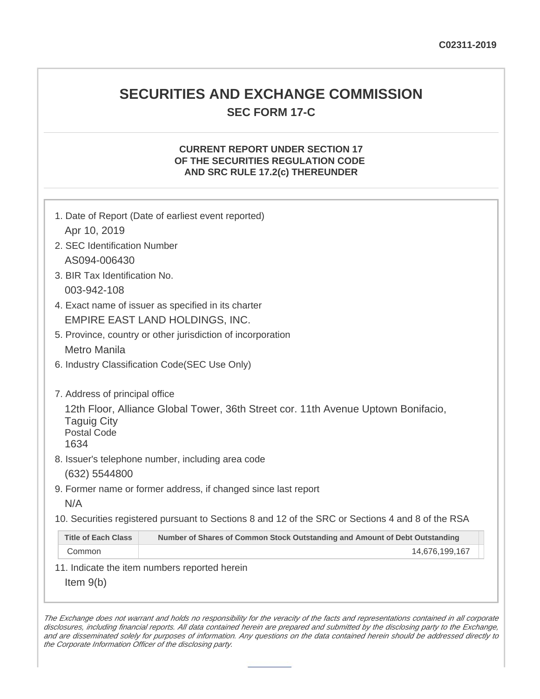# **SECURITIES AND EXCHANGE COMMISSION SEC FORM 17-C**

# **CURRENT REPORT UNDER SECTION 17 OF THE SECURITIES REGULATION CODE AND SRC RULE 17.2(c) THEREUNDER**

|                                                             | 1. Date of Report (Date of earliest event reported)                                               |  |  |  |
|-------------------------------------------------------------|---------------------------------------------------------------------------------------------------|--|--|--|
| Apr 10, 2019                                                |                                                                                                   |  |  |  |
| 2. SEC Identification Number                                |                                                                                                   |  |  |  |
| AS094-006430                                                |                                                                                                   |  |  |  |
| 3. BIR Tax Identification No.                               |                                                                                                   |  |  |  |
| 003-942-108                                                 |                                                                                                   |  |  |  |
| 4. Exact name of issuer as specified in its charter         |                                                                                                   |  |  |  |
| EMPIRE EAST LAND HOLDINGS, INC.                             |                                                                                                   |  |  |  |
| 5. Province, country or other jurisdiction of incorporation |                                                                                                   |  |  |  |
| Metro Manila                                                |                                                                                                   |  |  |  |
| 6. Industry Classification Code(SEC Use Only)               |                                                                                                   |  |  |  |
|                                                             |                                                                                                   |  |  |  |
| 7. Address of principal office                              |                                                                                                   |  |  |  |
| <b>Taguig City</b><br><b>Postal Code</b><br>1634            | 12th Floor, Alliance Global Tower, 36th Street cor. 11th Avenue Uptown Bonifacio,                 |  |  |  |
|                                                             | 8. Issuer's telephone number, including area code                                                 |  |  |  |
| (632) 5544800                                               |                                                                                                   |  |  |  |
|                                                             | 9. Former name or former address, if changed since last report                                    |  |  |  |
| N/A                                                         |                                                                                                   |  |  |  |
|                                                             | 10. Securities registered pursuant to Sections 8 and 12 of the SRC or Sections 4 and 8 of the RSA |  |  |  |
| <b>Title of Each Class</b>                                  | Number of Shares of Common Stock Outstanding and Amount of Debt Outstanding                       |  |  |  |
| Common                                                      | 14,676,199,167                                                                                    |  |  |  |
|                                                             | 11. Indicate the item numbers reported herein                                                     |  |  |  |
| Item $9(b)$                                                 |                                                                                                   |  |  |  |

The Exchange does not warrant and holds no responsibility for the veracity of the facts and representations contained in all corporate disclosures, including financial reports. All data contained herein are prepared and submitted by the disclosing party to the Exchange, and are disseminated solely for purposes of information. Any questions on the data contained herein should be addressed directly to the Corporate Information Officer of the disclosing party.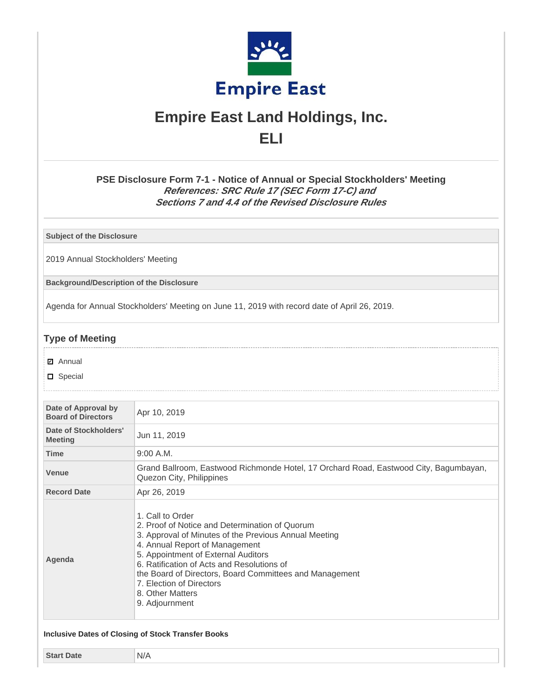

# **Empire East Land Holdings, Inc. ELI**

**PSE Disclosure Form 7-1 - Notice of Annual or Special Stockholders' Meeting References: SRC Rule 17 (SEC Form 17-C) and Sections 7 and 4.4 of the Revised Disclosure Rules**

**Subject of the Disclosure**

2019 Annual Stockholders' Meeting

**Background/Description of the Disclosure**

Agenda for Annual Stockholders' Meeting on June 11, 2019 with record date of April 26, 2019.

# **Type of Meeting**

- **☑** Annual
- D Special

| Date of Approval by<br><b>Board of Directors</b> | Apr 10, 2019                                                                                                                                                                                                                                                                                                                                                                    |  |  |
|--------------------------------------------------|---------------------------------------------------------------------------------------------------------------------------------------------------------------------------------------------------------------------------------------------------------------------------------------------------------------------------------------------------------------------------------|--|--|
| Date of Stockholders'<br><b>Meeting</b>          | Jun 11, 2019                                                                                                                                                                                                                                                                                                                                                                    |  |  |
| <b>Time</b>                                      | 9:00 A.M.                                                                                                                                                                                                                                                                                                                                                                       |  |  |
| <b>Venue</b>                                     | Grand Ballroom, Eastwood Richmonde Hotel, 17 Orchard Road, Eastwood City, Bagumbayan,<br>Quezon City, Philippines                                                                                                                                                                                                                                                               |  |  |
| <b>Record Date</b>                               | Apr 26, 2019                                                                                                                                                                                                                                                                                                                                                                    |  |  |
| Agenda                                           | 1. Call to Order<br>2. Proof of Notice and Determination of Quorum<br>3. Approval of Minutes of the Previous Annual Meeting<br>4. Annual Report of Management<br>5. Appointment of External Auditors<br>6. Ratification of Acts and Resolutions of<br>the Board of Directors, Board Committees and Management<br>7. Election of Directors<br>8. Other Matters<br>9. Adjournment |  |  |

**Start Date** N/A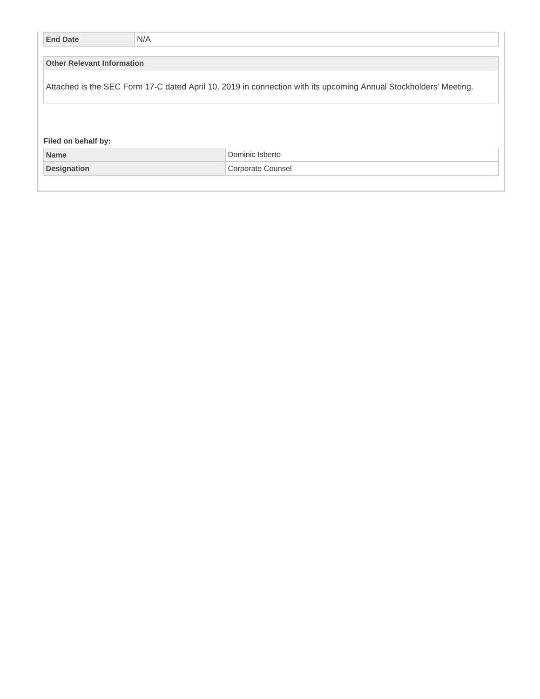| <b>End Date</b>                                                                                                  | N/A |                   |  |  |
|------------------------------------------------------------------------------------------------------------------|-----|-------------------|--|--|
| <b>Other Relevant Information</b>                                                                                |     |                   |  |  |
|                                                                                                                  |     |                   |  |  |
| Attached is the SEC Form 17-C dated April 10, 2019 in connection with its upcoming Annual Stockholders' Meeting. |     |                   |  |  |
|                                                                                                                  |     |                   |  |  |
|                                                                                                                  |     |                   |  |  |
| Filed on behalf by:                                                                                              |     |                   |  |  |
| <b>Name</b>                                                                                                      |     | Dominic Isberto   |  |  |
| <b>Designation</b>                                                                                               |     | Corporate Counsel |  |  |
|                                                                                                                  |     |                   |  |  |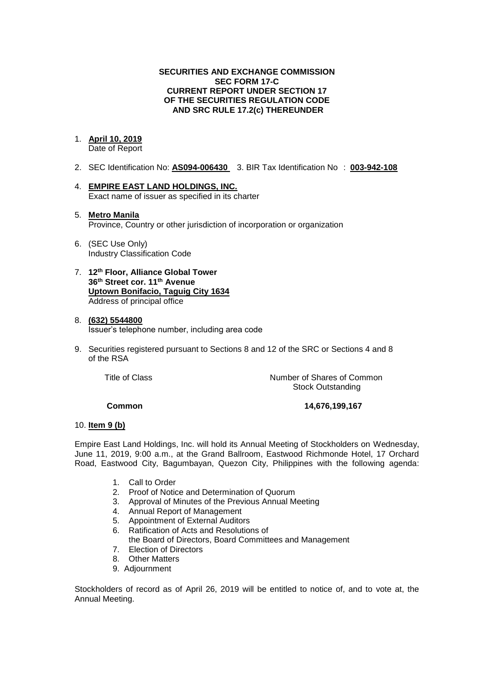#### **SECURITIES AND EXCHANGE COMMISSION SEC FORM 17-C CURRENT REPORT UNDER SECTION 17 OF THE SECURITIES REGULATION CODE AND SRC RULE 17.2(c) THEREUNDER**

# 1. **April 10, 2019**

Date of Report

- 2. SEC Identification No: **AS094-006430** 3. BIR Tax Identification No : **003-942-108**
- 4. **EMPIRE EAST LAND HOLDINGS, INC.** Exact name of issuer as specified in its charter
- 5. **Metro Manila** Province, Country or other jurisdiction of incorporation or organization
- 6. (SEC Use Only) Industry Classification Code
- 7. **12th Floor, Alliance Global Tower 36th Street cor. 11th Avenue Uptown Bonifacio, Taguig City 1634** Address of principal office

#### 8. **(632) 5544800** Issuer's telephone number, including area code

9. Securities registered pursuant to Sections 8 and 12 of the SRC or Sections 4 and 8 of the RSA

Title of Class **Number of Shares of Common** Stock Outstanding

**Common 14,676,199,167**

#### 10. **Item 9 (b)**

Empire East Land Holdings, Inc. will hold its Annual Meeting of Stockholders on Wednesday, June 11, 2019, 9:00 a.m., at the Grand Ballroom, Eastwood Richmonde Hotel, 17 Orchard Road, Eastwood City, Bagumbayan, Quezon City, Philippines with the following agenda:

- 1. Call to Order
- 2. Proof of Notice and Determination of Quorum
- 3. Approval of Minutes of the Previous Annual Meeting
- 4. Annual Report of Management
- 5. Appointment of External Auditors
- 6. Ratification of Acts and Resolutions of
- the Board of Directors, Board Committees and Management
- 7. Election of Directors
- 8. Other Matters
- 9. Adjournment

Stockholders of record as of April 26, 2019 will be entitled to notice of, and to vote at, the Annual Meeting.